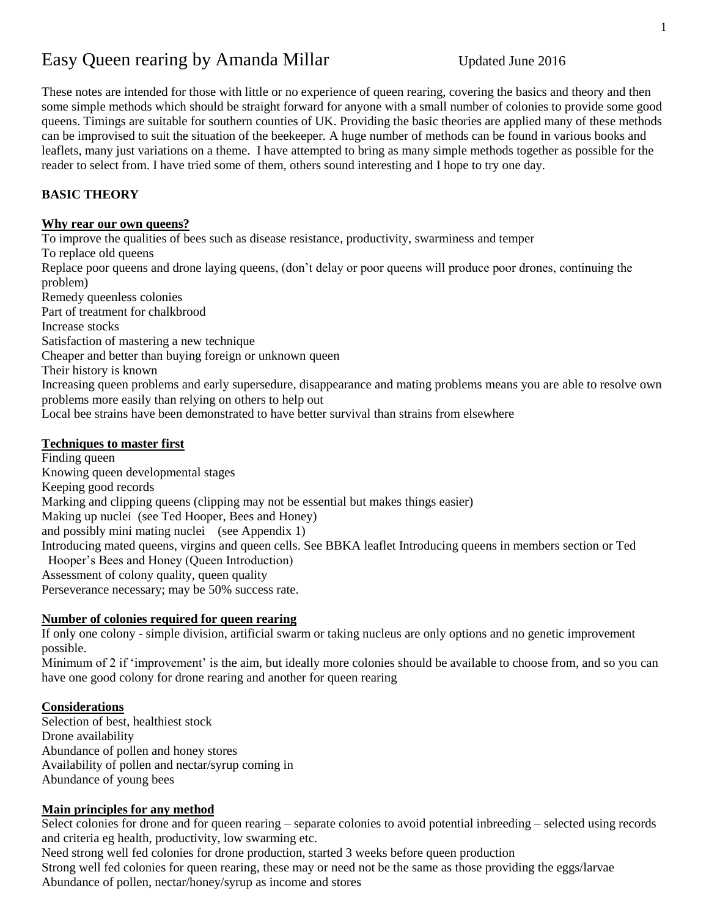# Easy Queen rearing by Amanda Millar Updated June 2016

These notes are intended for those with little or no experience of queen rearing, covering the basics and theory and then some simple methods which should be straight forward for anyone with a small number of colonies to provide some good queens. Timings are suitable for southern counties of UK. Providing the basic theories are applied many of these methods can be improvised to suit the situation of the beekeeper. A huge number of methods can be found in various books and leaflets, many just variations on a theme. I have attempted to bring as many simple methods together as possible for the reader to select from. I have tried some of them, others sound interesting and I hope to try one day.

# **BASIC THEORY**

#### **Why rear our own queens?**

To improve the qualities of bees such as disease resistance, productivity, swarminess and temper To replace old queens Replace poor queens and drone laying queens, (don't delay or poor queens will produce poor drones, continuing the problem) Remedy queenless colonies Part of treatment for chalkbrood Increase stocks Satisfaction of mastering a new technique Cheaper and better than buying foreign or unknown queen Their history is known Increasing queen problems and early supersedure, disappearance and mating problems means you are able to resolve own problems more easily than relying on others to help out Local bee strains have been demonstrated to have better survival than strains from elsewhere

## **Techniques to master first**

Finding queen Knowing queen developmental stages Keeping good records Marking and clipping queens (clipping may not be essential but makes things easier) Making up nuclei (see Ted Hooper, Bees and Honey) and possibly mini mating nuclei (see Appendix 1) Introducing mated queens, virgins and queen cells. See BBKA leaflet Introducing queens in members section or Ted Hooper's Bees and Honey (Queen Introduction) Assessment of colony quality, queen quality Perseverance necessary; may be 50% success rate.

#### **Number of colonies required for queen rearing**

If only one colony - simple division, artificial swarm or taking nucleus are only options and no genetic improvement possible.

Minimum of 2 if 'improvement' is the aim, but ideally more colonies should be available to choose from, and so you can have one good colony for drone rearing and another for queen rearing

#### **Considerations**

Selection of best, healthiest stock Drone availability Abundance of pollen and honey stores Availability of pollen and nectar/syrup coming in Abundance of young bees

## **Main principles for any method**

Select colonies for drone and for queen rearing – separate colonies to avoid potential inbreeding – selected using records and criteria eg health, productivity, low swarming etc.

Need strong well fed colonies for drone production, started 3 weeks before queen production Strong well fed colonies for queen rearing, these may or need not be the same as those providing the eggs/larvae Abundance of pollen, nectar/honey/syrup as income and stores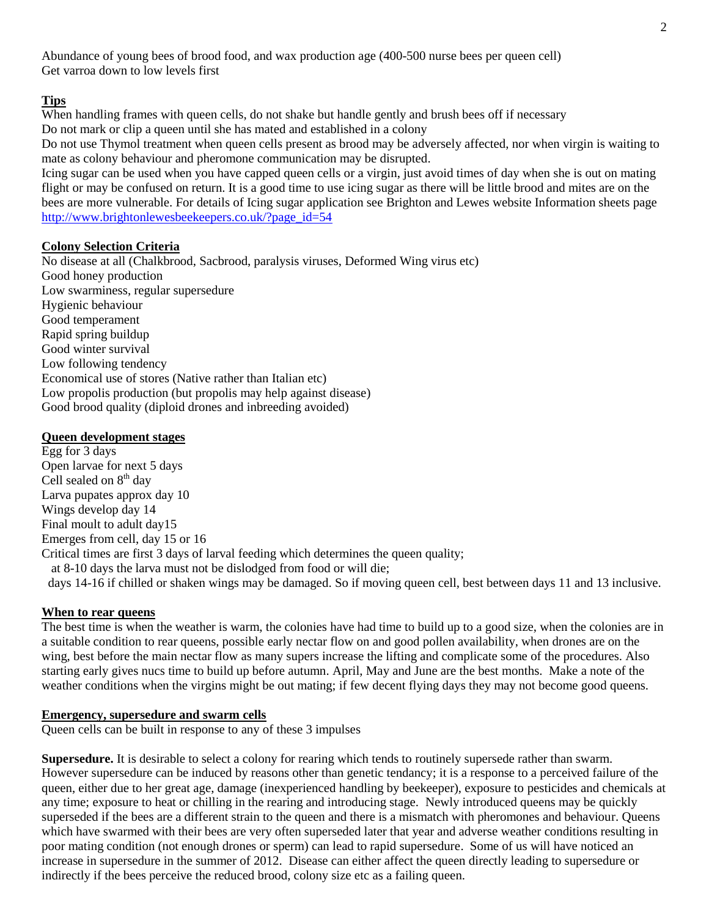Abundance of young bees of brood food, and wax production age (400-500 nurse bees per queen cell) Get varroa down to low levels first

#### **Tips**

When handling frames with queen cells, do not shake but handle gently and brush bees off if necessary Do not mark or clip a queen until she has mated and established in a colony

Do not use Thymol treatment when queen cells present as brood may be adversely affected, nor when virgin is waiting to mate as colony behaviour and pheromone communication may be disrupted.

Icing sugar can be used when you have capped queen cells or a virgin, just avoid times of day when she is out on mating flight or may be confused on return. It is a good time to use icing sugar as there will be little brood and mites are on the bees are more vulnerable. For details of Icing sugar application see Brighton and Lewes website Information sheets page [http://www.brightonlewesbeekeepers.co.uk/?page\\_id=54](http://www.brightonlewesbeekeepers.co.uk/?page_id=54)

#### **Colony Selection Criteria**

No disease at all (Chalkbrood, Sacbrood, paralysis viruses, Deformed Wing virus etc) Good honey production Low swarminess, regular supersedure Hygienic behaviour Good temperament Rapid spring buildup Good winter survival Low following tendency Economical use of stores (Native rather than Italian etc) Low propolis production (but propolis may help against disease) Good brood quality (diploid drones and inbreeding avoided)

#### **Queen development stages**

Egg for 3 days Open larvae for next 5 days Cell sealed on  $8<sup>th</sup>$  day Larva pupates approx day 10 Wings develop day 14 Final moult to adult day15 Emerges from cell, day 15 or 16 Critical times are first 3 days of larval feeding which determines the queen quality; at 8-10 days the larva must not be dislodged from food or will die; days 14-16 if chilled or shaken wings may be damaged. So if moving queen cell, best between days 11 and 13 inclusive.

#### **When to rear queens**

The best time is when the weather is warm, the colonies have had time to build up to a good size, when the colonies are in a suitable condition to rear queens, possible early nectar flow on and good pollen availability, when drones are on the wing, best before the main nectar flow as many supers increase the lifting and complicate some of the procedures. Also starting early gives nucs time to build up before autumn. April, May and June are the best months. Make a note of the weather conditions when the virgins might be out mating; if few decent flying days they may not become good queens.

#### **Emergency, supersedure and swarm cells**

Queen cells can be built in response to any of these 3 impulses

**Supersedure.** It is desirable to select a colony for rearing which tends to routinely supersede rather than swarm. However supersedure can be induced by reasons other than genetic tendancy; it is a response to a perceived failure of the queen, either due to her great age, damage (inexperienced handling by beekeeper), exposure to pesticides and chemicals at any time; exposure to heat or chilling in the rearing and introducing stage. Newly introduced queens may be quickly superseded if the bees are a different strain to the queen and there is a mismatch with pheromones and behaviour. Queens which have swarmed with their bees are very often superseded later that year and adverse weather conditions resulting in poor mating condition (not enough drones or sperm) can lead to rapid supersedure. Some of us will have noticed an increase in supersedure in the summer of 2012. Disease can either affect the queen directly leading to supersedure or indirectly if the bees perceive the reduced brood, colony size etc as a failing queen.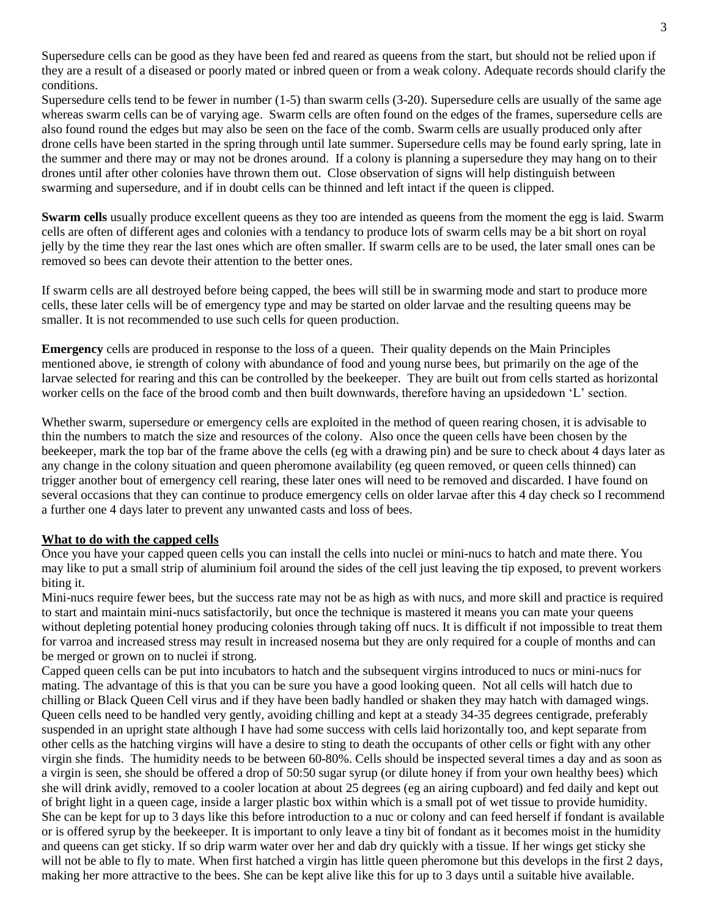Supersedure cells can be good as they have been fed and reared as queens from the start, but should not be relied upon if they are a result of a diseased or poorly mated or inbred queen or from a weak colony. Adequate records should clarify the conditions.

Supersedure cells tend to be fewer in number (1-5) than swarm cells (3-20). Supersedure cells are usually of the same age whereas swarm cells can be of varying age. Swarm cells are often found on the edges of the frames, supersedure cells are also found round the edges but may also be seen on the face of the comb. Swarm cells are usually produced only after drone cells have been started in the spring through until late summer. Supersedure cells may be found early spring, late in the summer and there may or may not be drones around. If a colony is planning a supersedure they may hang on to their drones until after other colonies have thrown them out. Close observation of signs will help distinguish between swarming and supersedure, and if in doubt cells can be thinned and left intact if the queen is clipped.

**Swarm cells** usually produce excellent queens as they too are intended as queens from the moment the egg is laid. Swarm cells are often of different ages and colonies with a tendancy to produce lots of swarm cells may be a bit short on royal jelly by the time they rear the last ones which are often smaller. If swarm cells are to be used, the later small ones can be removed so bees can devote their attention to the better ones.

If swarm cells are all destroyed before being capped, the bees will still be in swarming mode and start to produce more cells, these later cells will be of emergency type and may be started on older larvae and the resulting queens may be smaller. It is not recommended to use such cells for queen production.

**Emergency** cells are produced in response to the loss of a queen. Their quality depends on the Main Principles mentioned above, ie strength of colony with abundance of food and young nurse bees, but primarily on the age of the larvae selected for rearing and this can be controlled by the beekeeper. They are built out from cells started as horizontal worker cells on the face of the brood comb and then built downwards, therefore having an upsidedown 'L' section.

Whether swarm, supersedure or emergency cells are exploited in the method of queen rearing chosen, it is advisable to thin the numbers to match the size and resources of the colony. Also once the queen cells have been chosen by the beekeeper, mark the top bar of the frame above the cells (eg with a drawing pin) and be sure to check about 4 days later as any change in the colony situation and queen pheromone availability (eg queen removed, or queen cells thinned) can trigger another bout of emergency cell rearing, these later ones will need to be removed and discarded. I have found on several occasions that they can continue to produce emergency cells on older larvae after this 4 day check so I recommend a further one 4 days later to prevent any unwanted casts and loss of bees.

#### **What to do with the capped cells**

Once you have your capped queen cells you can install the cells into nuclei or mini-nucs to hatch and mate there. You may like to put a small strip of aluminium foil around the sides of the cell just leaving the tip exposed, to prevent workers biting it.

Mini-nucs require fewer bees, but the success rate may not be as high as with nucs, and more skill and practice is required to start and maintain mini-nucs satisfactorily, but once the technique is mastered it means you can mate your queens without depleting potential honey producing colonies through taking off nucs. It is difficult if not impossible to treat them for varroa and increased stress may result in increased nosema but they are only required for a couple of months and can be merged or grown on to nuclei if strong.

Capped queen cells can be put into incubators to hatch and the subsequent virgins introduced to nucs or mini-nucs for mating. The advantage of this is that you can be sure you have a good looking queen. Not all cells will hatch due to chilling or Black Queen Cell virus and if they have been badly handled or shaken they may hatch with damaged wings. Queen cells need to be handled very gently, avoiding chilling and kept at a steady 34-35 degrees centigrade, preferably suspended in an upright state although I have had some success with cells laid horizontally too, and kept separate from other cells as the hatching virgins will have a desire to sting to death the occupants of other cells or fight with any other virgin she finds. The humidity needs to be between 60-80%. Cells should be inspected several times a day and as soon as a virgin is seen, she should be offered a drop of 50:50 sugar syrup (or dilute honey if from your own healthy bees) which she will drink avidly, removed to a cooler location at about 25 degrees (eg an airing cupboard) and fed daily and kept out of bright light in a queen cage, inside a larger plastic box within which is a small pot of wet tissue to provide humidity. She can be kept for up to 3 days like this before introduction to a nuc or colony and can feed herself if fondant is available or is offered syrup by the beekeeper. It is important to only leave a tiny bit of fondant as it becomes moist in the humidity and queens can get sticky. If so drip warm water over her and dab dry quickly with a tissue. If her wings get sticky she will not be able to fly to mate. When first hatched a virgin has little queen pheromone but this develops in the first 2 days, making her more attractive to the bees. She can be kept alive like this for up to 3 days until a suitable hive available.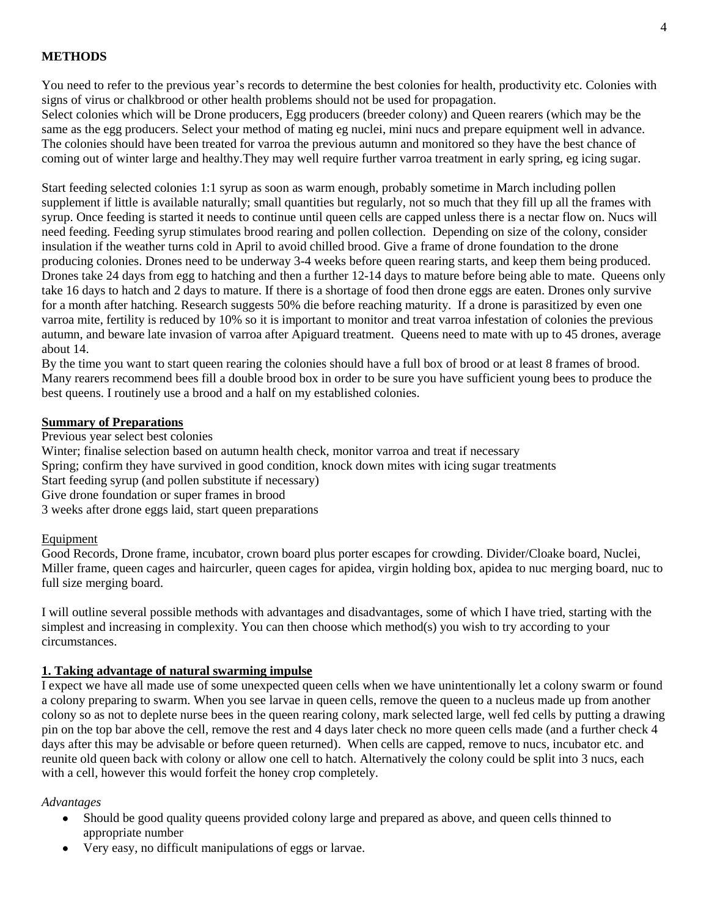#### **METHODS**

You need to refer to the previous year's records to determine the best colonies for health, productivity etc. Colonies with signs of virus or chalkbrood or other health problems should not be used for propagation.

Select colonies which will be Drone producers, Egg producers (breeder colony) and Queen rearers (which may be the same as the egg producers. Select your method of mating eg nuclei, mini nucs and prepare equipment well in advance. The colonies should have been treated for varroa the previous autumn and monitored so they have the best chance of coming out of winter large and healthy.They may well require further varroa treatment in early spring, eg icing sugar.

Start feeding selected colonies 1:1 syrup as soon as warm enough, probably sometime in March including pollen supplement if little is available naturally; small quantities but regularly, not so much that they fill up all the frames with syrup. Once feeding is started it needs to continue until queen cells are capped unless there is a nectar flow on. Nucs will need feeding. Feeding syrup stimulates brood rearing and pollen collection. Depending on size of the colony, consider insulation if the weather turns cold in April to avoid chilled brood. Give a frame of drone foundation to the drone producing colonies. Drones need to be underway 3-4 weeks before queen rearing starts, and keep them being produced. Drones take 24 days from egg to hatching and then a further 12-14 days to mature before being able to mate. Queens only take 16 days to hatch and 2 days to mature. If there is a shortage of food then drone eggs are eaten. Drones only survive for a month after hatching. Research suggests 50% die before reaching maturity. If a drone is parasitized by even one varroa mite, fertility is reduced by 10% so it is important to monitor and treat varroa infestation of colonies the previous autumn, and beware late invasion of varroa after Apiguard treatment. Queens need to mate with up to 45 drones, average about 14.

By the time you want to start queen rearing the colonies should have a full box of brood or at least 8 frames of brood. Many rearers recommend bees fill a double brood box in order to be sure you have sufficient young bees to produce the best queens. I routinely use a brood and a half on my established colonies.

#### **Summary of Preparations**

Previous year select best colonies

Winter; finalise selection based on autumn health check, monitor varroa and treat if necessary

- Spring; confirm they have survived in good condition, knock down mites with icing sugar treatments
- Start feeding syrup (and pollen substitute if necessary)
- Give drone foundation or super frames in brood

3 weeks after drone eggs laid, start queen preparations

#### Equipment

Good Records, Drone frame, incubator, crown board plus porter escapes for crowding. Divider/Cloake board, Nuclei, Miller frame, queen cages and haircurler, queen cages for apidea, virgin holding box, apidea to nuc merging board, nuc to full size merging board.

I will outline several possible methods with advantages and disadvantages, some of which I have tried, starting with the simplest and increasing in complexity. You can then choose which method(s) you wish to try according to your circumstances.

#### **1. Taking advantage of natural swarming impulse**

I expect we have all made use of some unexpected queen cells when we have unintentionally let a colony swarm or found a colony preparing to swarm. When you see larvae in queen cells, remove the queen to a nucleus made up from another colony so as not to deplete nurse bees in the queen rearing colony, mark selected large, well fed cells by putting a drawing pin on the top bar above the cell, remove the rest and 4 days later check no more queen cells made (and a further check 4 days after this may be advisable or before queen returned). When cells are capped, remove to nucs, incubator etc. and reunite old queen back with colony or allow one cell to hatch. Alternatively the colony could be split into 3 nucs, each with a cell, however this would forfeit the honey crop completely.

#### *Advantages*

- $\bullet$ Should be good quality queens provided colony large and prepared as above, and queen cells thinned to appropriate number
- Very easy, no difficult manipulations of eggs or larvae.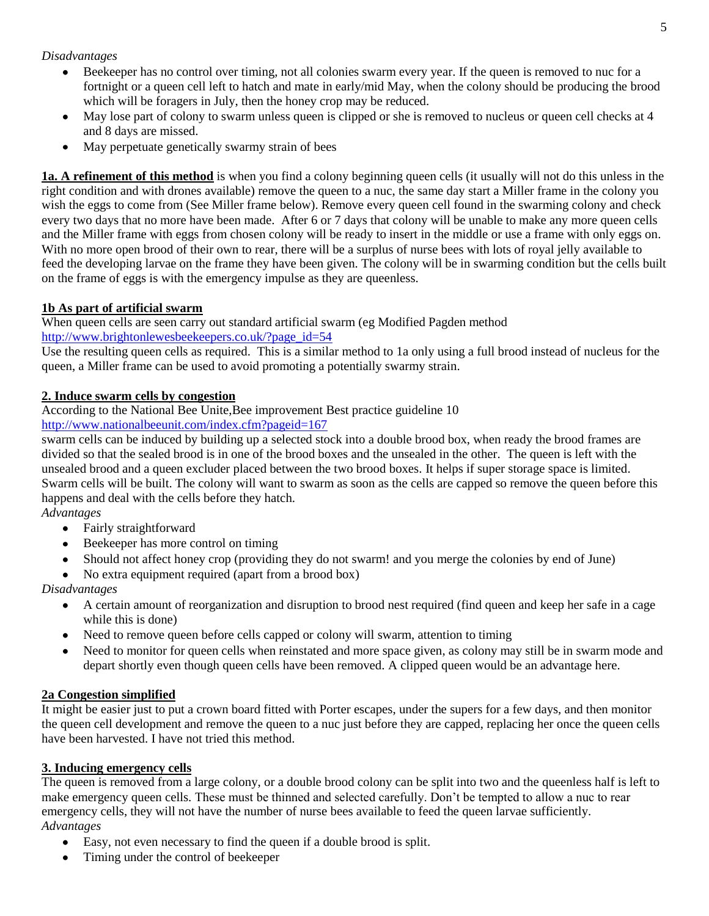## *Disadvantages*

- Beekeeper has no control over timing, not all colonies swarm every year. If the queen is removed to nuc for a  $\bullet$ fortnight or a queen cell left to hatch and mate in early/mid May, when the colony should be producing the brood which will be foragers in July, then the honey crop may be reduced.
- May lose part of colony to swarm unless queen is clipped or she is removed to nucleus or queen cell checks at 4  $\bullet$ and 8 days are missed.
- May perpetuate genetically swarmy strain of bees  $\bullet$

**1a. A refinement of this method** is when you find a colony beginning queen cells (it usually will not do this unless in the right condition and with drones available) remove the queen to a nuc, the same day start a Miller frame in the colony you wish the eggs to come from (See Miller frame below). Remove every queen cell found in the swarming colony and check every two days that no more have been made. After 6 or 7 days that colony will be unable to make any more queen cells and the Miller frame with eggs from chosen colony will be ready to insert in the middle or use a frame with only eggs on. With no more open brood of their own to rear, there will be a surplus of nurse bees with lots of royal jelly available to feed the developing larvae on the frame they have been given. The colony will be in swarming condition but the cells built on the frame of eggs is with the emergency impulse as they are queenless.

## **1b As part of artificial swarm**

When queen cells are seen carry out standard artificial swarm (eg Modified Pagden method [http://www.brightonlewesbeekeepers.co.uk/?page\\_id=54](http://www.brightonlewesbeekeepers.co.uk/?page_id=54)

Use the resulting queen cells as required. This is a similar method to 1a only using a full brood instead of nucleus for the queen, a Miller frame can be used to avoid promoting a potentially swarmy strain.

## **2. Induce swarm cells by congestion**

According to the National Bee Unite,Bee improvement Best practice guideline 10

<http://www.nationalbeeunit.com/index.cfm?pageid=167>

swarm cells can be induced by building up a selected stock into a double brood box, when ready the brood frames are divided so that the sealed brood is in one of the brood boxes and the unsealed in the other. The queen is left with the unsealed brood and a queen excluder placed between the two brood boxes. It helps if super storage space is limited. Swarm cells will be built. The colony will want to swarm as soon as the cells are capped so remove the queen before this happens and deal with the cells before they hatch.

- *Advantages*
	- $\bullet$ Fairly straightforward
	- Beekeeper has more control on timing
	- Should not affect honey crop (providing they do not swarm! and you merge the colonies by end of June)
	- No extra equipment required (apart from a brood box)

*Disadvantages*

- A certain amount of reorganization and disruption to brood nest required (find queen and keep her safe in a cage  $\bullet$ while this is done)
- Need to remove queen before cells capped or colony will swarm, attention to timing
- Need to monitor for queen cells when reinstated and more space given, as colony may still be in swarm mode and depart shortly even though queen cells have been removed. A clipped queen would be an advantage here.

## **2a Congestion simplified**

It might be easier just to put a crown board fitted with Porter escapes, under the supers for a few days, and then monitor the queen cell development and remove the queen to a nuc just before they are capped, replacing her once the queen cells have been harvested. I have not tried this method.

## **3. Inducing emergency cells**

The queen is removed from a large colony, or a double brood colony can be split into two and the queenless half is left to make emergency queen cells. These must be thinned and selected carefully. Don't be tempted to allow a nuc to rear emergency cells, they will not have the number of nurse bees available to feed the queen larvae sufficiently. *Advantages*

- $\bullet$ Easy, not even necessary to find the queen if a double brood is split.
- Timing under the control of beekeeper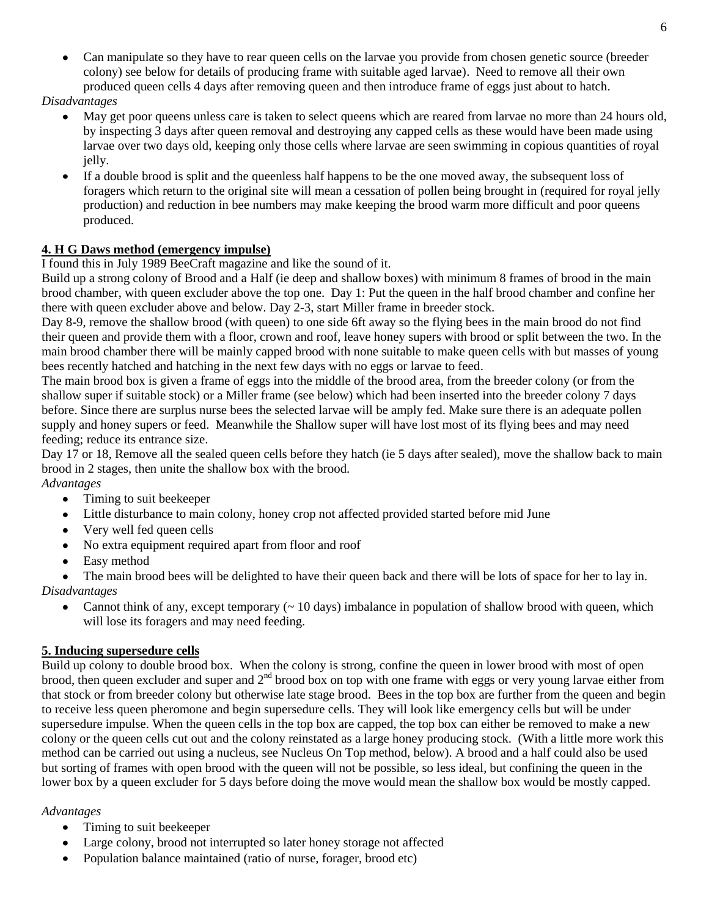Can manipulate so they have to rear queen cells on the larvae you provide from chosen genetic source (breeder colony) see below for details of producing frame with suitable aged larvae). Need to remove all their own produced queen cells 4 days after removing queen and then introduce frame of eggs just about to hatch.

#### *Disadvantages*

- May get poor queens unless care is taken to select queens which are reared from larvae no more than 24 hours old, by inspecting 3 days after queen removal and destroying any capped cells as these would have been made using larvae over two days old, keeping only those cells where larvae are seen swimming in copious quantities of royal jelly.
- $\bullet$ If a double brood is split and the queenless half happens to be the one moved away, the subsequent loss of foragers which return to the original site will mean a cessation of pollen being brought in (required for royal jelly production) and reduction in bee numbers may make keeping the brood warm more difficult and poor queens produced.

# **4. H G Daws method (emergency impulse)**

## I found this in July 1989 BeeCraft magazine and like the sound of it.

Build up a strong colony of Brood and a Half (ie deep and shallow boxes) with minimum 8 frames of brood in the main brood chamber, with queen excluder above the top one. Day 1: Put the queen in the half brood chamber and confine her there with queen excluder above and below. Day 2-3, start Miller frame in breeder stock.

Day 8-9, remove the shallow brood (with queen) to one side 6ft away so the flying bees in the main brood do not find their queen and provide them with a floor, crown and roof, leave honey supers with brood or split between the two. In the main brood chamber there will be mainly capped brood with none suitable to make queen cells with but masses of young bees recently hatched and hatching in the next few days with no eggs or larvae to feed.

The main brood box is given a frame of eggs into the middle of the brood area, from the breeder colony (or from the shallow super if suitable stock) or a Miller frame (see below) which had been inserted into the breeder colony 7 days before. Since there are surplus nurse bees the selected larvae will be amply fed. Make sure there is an adequate pollen supply and honey supers or feed. Meanwhile the Shallow super will have lost most of its flying bees and may need feeding; reduce its entrance size.

Day 17 or 18, Remove all the sealed queen cells before they hatch (ie 5 days after sealed), move the shallow back to main brood in 2 stages, then unite the shallow box with the brood.

## *Advantages*

- $\bullet$ Timing to suit beekeeper
- Little disturbance to main colony, honey crop not affected provided started before mid June
- Very well fed queen cells
- $\bullet$ No extra equipment required apart from floor and roof
- Easy method

The main brood bees will be delighted to have their queen back and there will be lots of space for her to lay in. *Disadvantages*

Cannot think of any, except temporary  $(~ 10 \text{ days})$  imbalance in population of shallow brood with queen, which  $\bullet$ will lose its foragers and may need feeding.

# **5. Inducing supersedure cells**

Build up colony to double brood box. When the colony is strong, confine the queen in lower brood with most of open brood, then queen excluder and super and  $2<sup>nd</sup>$  brood box on top with one frame with eggs or very young larvae either from that stock or from breeder colony but otherwise late stage brood. Bees in the top box are further from the queen and begin to receive less queen pheromone and begin supersedure cells. They will look like emergency cells but will be under supersedure impulse. When the queen cells in the top box are capped, the top box can either be removed to make a new colony or the queen cells cut out and the colony reinstated as a large honey producing stock. (With a little more work this method can be carried out using a nucleus, see Nucleus On Top method, below). A brood and a half could also be used but sorting of frames with open brood with the queen will not be possible, so less ideal, but confining the queen in the lower box by a queen excluder for 5 days before doing the move would mean the shallow box would be mostly capped.

## *Advantages*

- $\bullet$ Timing to suit beekeeper
- Large colony, brood not interrupted so later honey storage not affected
- Population balance maintained (ratio of nurse, forager, brood etc)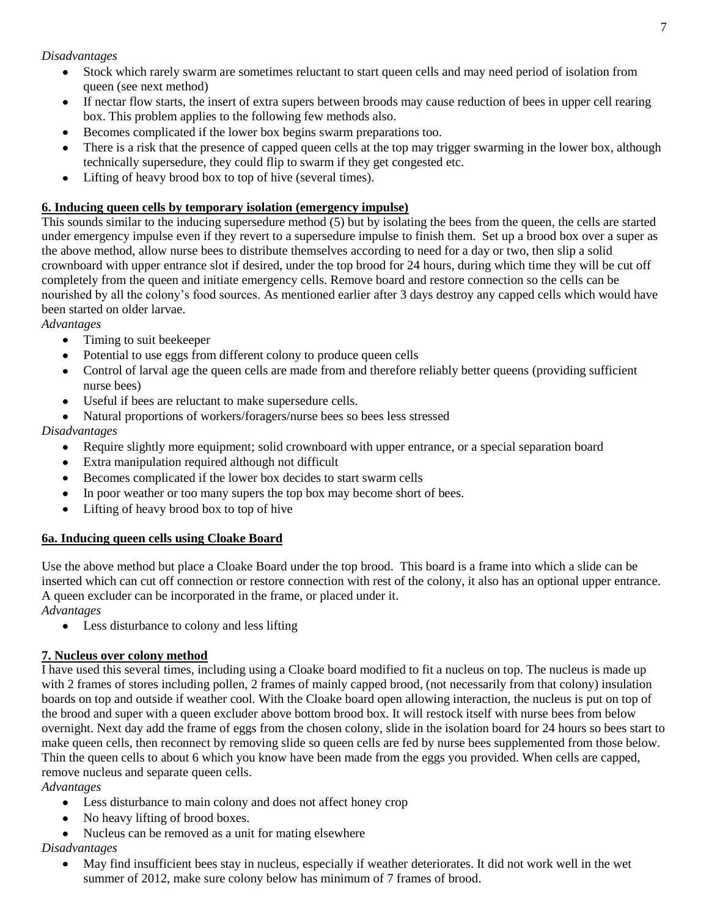#### *Disadvantages*

- $\bullet$ Stock which rarely swarm are sometimes reluctant to start queen cells and may need period of isolation from queen (see next method)
- If nectar flow starts, the insert of extra supers between broods may cause reduction of bees in upper cell rearing  $\bullet$ box. This problem applies to the following few methods also.
- Becomes complicated if the lower box begins swarm preparations too.
- There is a risk that the presence of capped queen cells at the top may trigger swarming in the lower box, although technically supersedure, they could flip to swarm if they get congested etc.
- Lifting of heavy brood box to top of hive (several times).  $\bullet$

## **6. Inducing queen cells by temporary isolation (emergency impulse)**

This sounds similar to the inducing supersedure method (5) but by isolating the bees from the queen, the cells are started under emergency impulse even if they revert to a supersedure impulse to finish them. Set up a brood box over a super as the above method, allow nurse bees to distribute themselves according to need for a day or two, then slip a solid crownboard with upper entrance slot if desired, under the top brood for 24 hours, during which time they will be cut off completely from the queen and initiate emergency cells. Remove board and restore connection so the cells can be nourished by all the colony's food sources. As mentioned earlier after 3 days destroy any capped cells which would have been started on older larvae.

*Advantages*

- Timing to suit beekeeper  $\bullet$
- Potential to use eggs from different colony to produce queen cells
- Control of larval age the queen cells are made from and therefore reliably better queens (providing sufficient  $\bullet$ nurse bees)
- Useful if bees are reluctant to make supersedure cells.
- Natural proportions of workers/foragers/nurse bees so bees less stressed

## *Disadvantages*

- $\bullet$ Require slightly more equipment; solid crownboard with upper entrance, or a special separation board
- Extra manipulation required although not difficult
- Becomes complicated if the lower box decides to start swarm cells
- In poor weather or too many supers the top box may become short of bees.
- Lifting of heavy brood box to top of hive

## **6a. Inducing queen cells using Cloake Board**

Use the above method but place a Cloake Board under the top brood. This board is a frame into which a slide can be inserted which can cut off connection or restore connection with rest of the colony, it also has an optional upper entrance. A queen excluder can be incorporated in the frame, or placed under it.

*Advantages*

• Less disturbance to colony and less lifting

## **7. Nucleus over colony method**

I have used this several times, including using a Cloake board modified to fit a nucleus on top. The nucleus is made up with 2 frames of stores including pollen, 2 frames of mainly capped brood, (not necessarily from that colony) insulation boards on top and outside if weather cool. With the Cloake board open allowing interaction, the nucleus is put on top of the brood and super with a queen excluder above bottom brood box. It will restock itself with nurse bees from below overnight. Next day add the frame of eggs from the chosen colony, slide in the isolation board for 24 hours so bees start to make queen cells, then reconnect by removing slide so queen cells are fed by nurse bees supplemented from those below. Thin the queen cells to about 6 which you know have been made from the eggs you provided. When cells are capped, remove nucleus and separate queen cells.

## *Advantages*

- Less disturbance to main colony and does not affect honey crop  $\bullet$
- No heavy lifting of brood boxes.
- Nucleus can be removed as a unit for mating elsewhere

## *Disadvantages*

May find insufficient bees stay in nucleus, especially if weather deteriorates. It did not work well in the wet summer of 2012, make sure colony below has minimum of 7 frames of brood.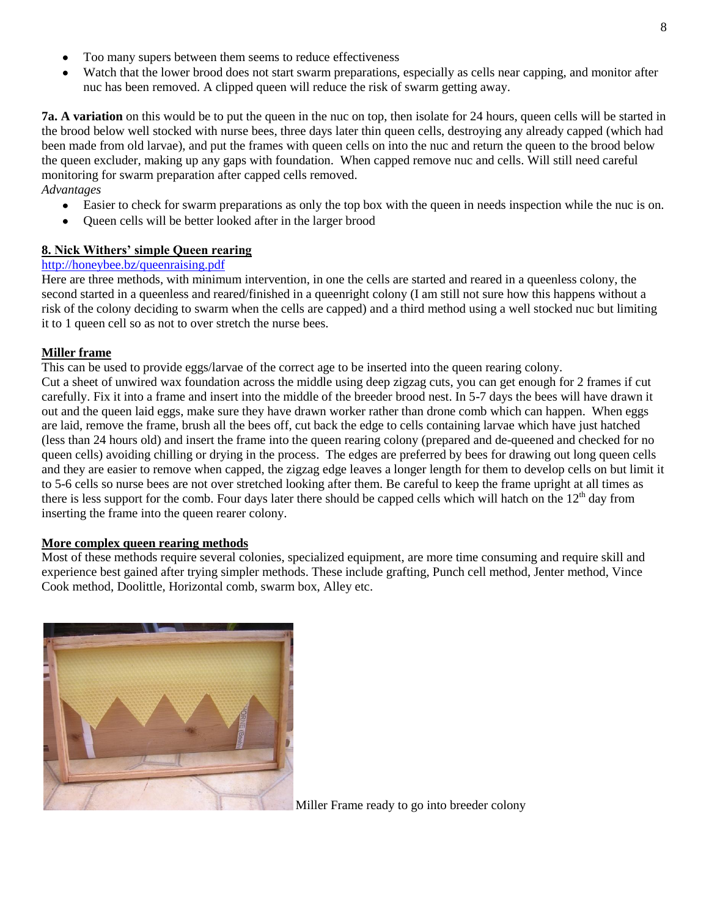- Too many supers between them seems to reduce effectiveness
- Watch that the lower brood does not start swarm preparations, especially as cells near capping, and monitor after nuc has been removed. A clipped queen will reduce the risk of swarm getting away.

**7a.** A variation on this would be to put the queen in the nuc on top, then isolate for 24 hours, queen cells will be started in the brood below well stocked with nurse bees, three days later thin queen cells, destroying any already capped (which had been made from old larvae), and put the frames with queen cells on into the nuc and return the queen to the brood below the queen excluder, making up any gaps with foundation. When capped remove nuc and cells. Will still need careful monitoring for swarm preparation after capped cells removed. *Advantages*

- Easier to check for swarm preparations as only the top box with the queen in needs inspection while the nuc is on.  $\bullet$
- Queen cells will be better looked after in the larger brood

#### **8. Nick Withers' simple Queen rearing**

## <http://honeybee.bz/queenraising.pdf>

Here are three methods, with minimum intervention, in one the cells are started and reared in a queenless colony, the second started in a queenless and reared/finished in a queenright colony (I am still not sure how this happens without a risk of the colony deciding to swarm when the cells are capped) and a third method using a well stocked nuc but limiting it to 1 queen cell so as not to over stretch the nurse bees.

#### **Miller frame**

This can be used to provide eggs/larvae of the correct age to be inserted into the queen rearing colony. Cut a sheet of unwired wax foundation across the middle using deep zigzag cuts, you can get enough for 2 frames if cut carefully. Fix it into a frame and insert into the middle of the breeder brood nest. In 5-7 days the bees will have drawn it out and the queen laid eggs, make sure they have drawn worker rather than drone comb which can happen. When eggs are laid, remove the frame, brush all the bees off, cut back the edge to cells containing larvae which have just hatched (less than 24 hours old) and insert the frame into the queen rearing colony (prepared and de-queened and checked for no queen cells) avoiding chilling or drying in the process. The edges are preferred by bees for drawing out long queen cells and they are easier to remove when capped, the zigzag edge leaves a longer length for them to develop cells on but limit it to 5-6 cells so nurse bees are not over stretched looking after them. Be careful to keep the frame upright at all times as there is less support for the comb. Four days later there should be capped cells which will hatch on the  $12<sup>th</sup>$  day from inserting the frame into the queen rearer colony.

#### **More complex queen rearing methods**

Most of these methods require several colonies, specialized equipment, are more time consuming and require skill and experience best gained after trying simpler methods. These include grafting, Punch cell method, Jenter method, Vince Cook method, Doolittle, Horizontal comb, swarm box, Alley etc.



Miller Frame ready to go into breeder colony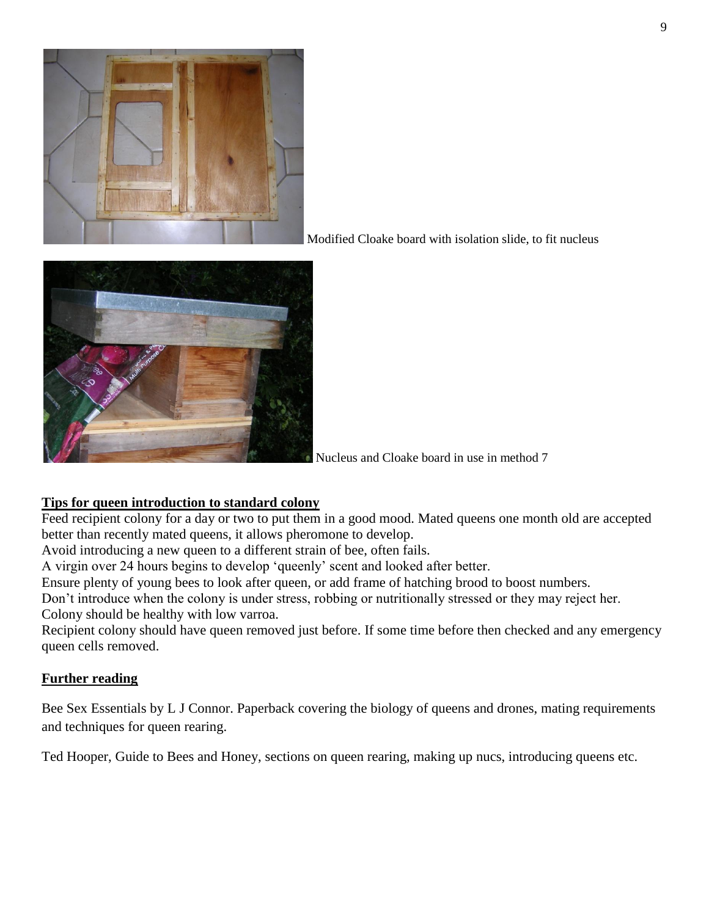

Modified Cloake board with isolation slide, to fit nucleus



Nucleus and Cloake board in use in method 7

# **Tips for queen introduction to standard colony**

Feed recipient colony for a day or two to put them in a good mood. Mated queens one month old are accepted better than recently mated queens, it allows pheromone to develop.

Avoid introducing a new queen to a different strain of bee, often fails.

A virgin over 24 hours begins to develop 'queenly' scent and looked after better.

Ensure plenty of young bees to look after queen, or add frame of hatching brood to boost numbers.

Don't introduce when the colony is under stress, robbing or nutritionally stressed or they may reject her. Colony should be healthy with low varroa.

Recipient colony should have queen removed just before. If some time before then checked and any emergency queen cells removed.

# **Further reading**

Bee Sex Essentials by L J Connor. Paperback covering the biology of queens and drones, mating requirements and techniques for queen rearing.

Ted Hooper, Guide to Bees and Honey, sections on queen rearing, making up nucs, introducing queens etc.